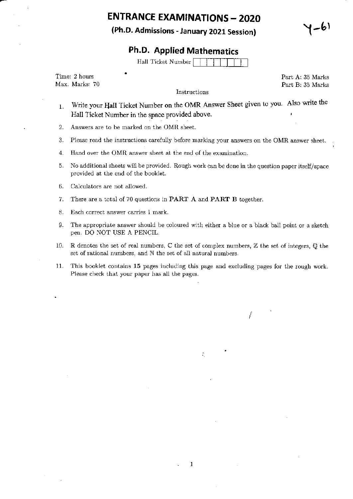# **ENTRANCE EXAMINATIONS - 2020**

(Ph.D. Admissions - January 2021 Session)

-61

### **Ph.D. Applied Mathematics**

Hall Ticket Number

Time: 2 hours Max. Marks: 70

Instructions

Part A: 35 Marks Part B: 35 Marks

- Write your Hall Ticket Number on the OMR Answer Sheet given to you. Also write the 1. Hall Ticket Number in the space provided above.
- $2.$ Answers are to be marked on the OMR sheet.
- 3. Please read the instructions carefully before marking your answers on the OMR answer sheet.
- Hand over the OMR answer sheet at the end of the examination. 4.
- No additional sheets will be provided. Rough work can be done in the question paper itself/space 5. provided at the end of the booklet.
- 6. Calculators are not allowed.
- 7. There are a total of 70 questions in **PART A** and **PART B** together.
- 8. Each correct answer carries 1 mark.
- 9. The appropriate answer should be coloured with either a blue or a black ball point or a sketch pen. DO NOT USE A PENCIL.
- R denotes the set of real numbers,  $\mathbb C$  the set of complex numbers,  $\mathbb Z$  the set of integers,  $\mathbb Q$  the 10. set of rational numbers, and N the set of all natural numbers.
- This booklet contains 15 pages including this page and excluding pages for the rough work.  $11.$ Please check that your paper has all the pages.

÷,

 $\mathbf{1}$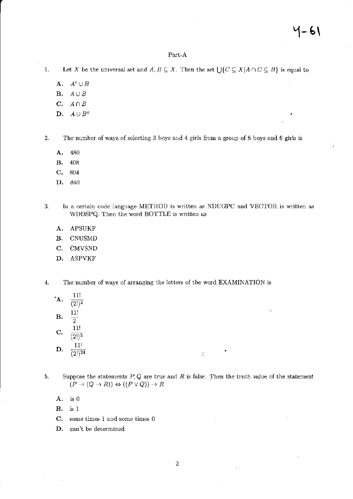#### Part-A

- Let X be the universal set and  $A, B \subseteq X$ . Then the set  $\bigcup \{C \subseteq X | A \cap C \subseteq B\}$  is equal to  $1.$ 
	- A.  $A^c \cup B$
	- **B.**  $A \cup B$
	- $A \cap B$ C.
	- D.  $A \cup B^c$

 $\overline{2}$ The number of ways of selecting 3 boys and 4 girls from a group of 8 boys and 6 girls is

- A. 480
- В. 408
- $C_{\star}$ 804
- D. 840
- In a certain code language METHOD is written as NDUGPC and VECTOR is written as 3. WDDSPQ. Then the word BOTTLE is written as
	- APSUKF A.
	- **B.** CNUSMD
	- $\mathbf{C}$ . CMVSND
	- D. ASPVKF
- $4.$ The number of ways of arranging the letters of the word EXAMINATION is
	- $11!$ A.  $\overline{(2!)^2}$  $11!$ **B.**  $\overline{2}$  $11!$
	- $\mathbf{C}$ .  $(2!)^3$
	- $11!$ D.  $(2!)^{24}$
- 5. Suppose the statements  $P,Q$  are true and  $R$  is false. Then the truth value of the statement  $(P \to (Q \to R)) \Leftrightarrow ((P \lor Q)) \to R$

÷,

- A. is 0
- **B.**  $is<sub>1</sub>$
- $\mathbf{C}$ . some times 1 and some times 0
- D. can't be determined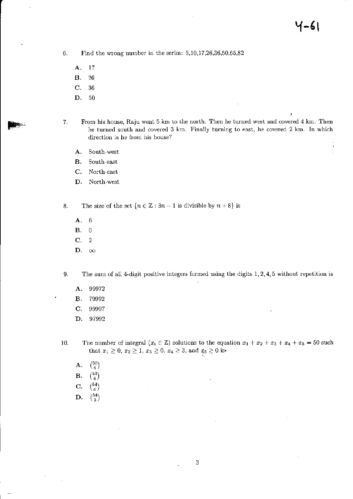Find the wrong number in the series:  $5,10,17,26,36,50,65,82$  $6.$ 

- A.  $17$
- **B.** 26
- C. 36
- D.  $50\,$
- From his house, Raju went 5 km to the north. Then he turned west and covered 4 km. Then  $7.$ he turned south and covered 3 km. Finally turning to east, he covered 2 km. In which direction is he from his house?
	- A. South-west
	- **B.** South-east
	- $\mathbf{C}$ . North-east
	- North-west D.
- 8. The size of the set  $\{n \in \mathbb{Z} : 3n - 1$  is divisible by  $n + 8\}$  is
	- A.  $-6$
	- **B.**  $\overline{0}$
	- $C.$  $\sqrt{2}$
	- D.  $\infty$

9. The sum of all 4-digit positive integers formed using the digits  $1, 2, 4, 5$  without repetition is

- 99972 Α.
- **B.** 79992
- C. 99997
- D. 97992
- The number of integral  $(x_i \in \mathbb{Z})$  solutions to the equation  $x_1 + x_2 + x_3 + x_4 + x_5 = 50$  such that  $x_1 \ge 0$ ,  $x_2 \ge 1$ ,  $x_3 \ge 0$ ,  $x_4 \ge 3$ , and  $x_5 \ge 0$  is-10.
	- ${50 \choose 4}$ A.
	- $\binom{53}{4}$ **B.**
	- $\binom{54}{4}$ C.
	- $\binom{54}{3}$ D.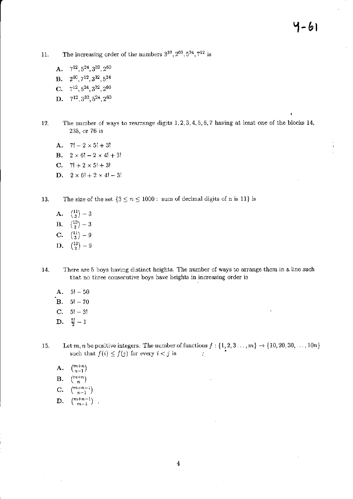ï

The increasing order of the numbers  $3^{32}, 2^{60}, 5^{24}, 7^{12}$  is 11.

- A.  $7^{12}$ ,  $5^{24}$ ,  $3^{32}$ ,  $2^{60}$
- **B.**  $2^{60}$ ,  $7^{12}$ ,  $3^{32}$ ,  $5^{24}$
- C.  $7^{12}, 5^{24}, 3^{32}, 2^{60}$
- D.  $7^{12}, 3^{32}, 5^{24}, 2^{60}$
- The number of ways to rearrange digits  $1, 2, 3, 4, 5, 6, 7$  having at least one of the blocks 14, 12. 235, or 76 is
	- **A.**  $7! 2 \times 5! + 3!$
	- **B.**  $2 \times 6! 2 \times 4! + 3!$
	- C.  $7! + 2 \times 5! + 3!$
	- **D.**  $2 \times 6! + 2 \times 4! 3!$
- The size of the set  $\{3 \le n \le 1000 : \text{ sum of decimal digits of n is 11}\}\$ 13.
	- A.  $\binom{11}{3} 3$
	- **B.**  $\binom{13}{2} 3$
	- C.  $\binom{11}{3} 9$
	- **D.**  $\binom{13}{2} 9$
- 14. There are 5 boys having distinct heights. The number of ways to arrange them in a line such that no three consecutive boys have heights in increasing order is
	- **A.**  $5! 50$
	- **B.**  $5! 70$
	- C.  $5! 3!$
	- **D.**  $\frac{5!}{2}-1$
- Let  $m, n$  be positive integers. The number of functions  $f: \{1, 2, 3, ..., m\} \to \{10, 20, 30, ..., 10n\}$ <br>such that  $f(i) \le f(j)$  for every  $i < j$  is 15.
	- $\binom{m+n}{n-1}$ A.
	- $\binom{m+n}{n}$ В.
	- C.
	- $\binom{m+n+1}{n-1}$
	- $\binom{m+n-1}{m-1}$ D.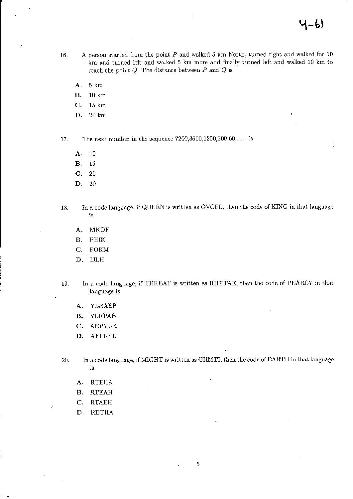ł

- A person started from the point  $P$  and walked  $5$  km North, turned right and walked for  $10$ 16. km and turned left and walked 5 km more and finally turned left and walked 10 km to reach the point  $Q$ . The distance between  $P$  and  $Q$  is
	- A. 5 km
	- **B.**  $10 \text{ km}$
	- $\mathbf{C}$ .  $15 \text{ km}$
	- $20 \text{ km}$ D.

The next number in the sequence  $7200,3600,1200,300,60,...$ , is 17.

- A.  $10$
- В. 15
- C. 20
- D. 30
- In a code language, if QUEEN is written as OVCFL, then the code of KING in that language 18.  $\mathrm{i}\mathbf{s}$ 
	- **MKOF** А.
	- В. PHIK
	- $\mathbf{C}$ . **FOKM**
	- D. IJLH
- In a code language, if THREAT is written as RHTTAE, then the code of PEARLY in that 19. language is
	- A. YLRAEP
	- В. YLRPAE
	- C. AEPYLR
	- D. AEPRYL

In a code language, if MIGHT is written as GHMTI, then the code of EARTH in that language 20.  $1\mathrm{S}$ 

- **RTEHA** A.
- $RTEAH$ **B.**
- C. **RTAEH**
- D. RETHA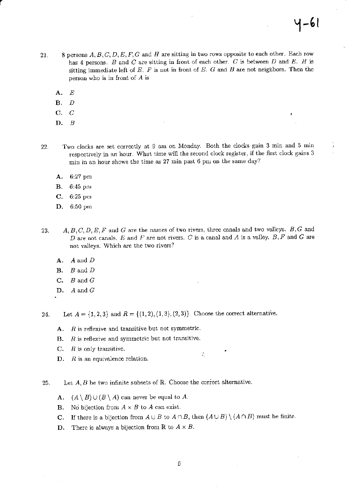- 8 persons  $A, B, C, D, E, F, G$  and  $H$  are sitting in two rows opposite to each other. Each row 21. has 4 persons.  $B$  and  $C$  are sitting in front of each other.  $C$  is between  $D$  and  $E$ .  $H$  is sitting immediate left of  $E$ .  $F$  is not in front of  $E$ .  $G$  and  $B$  are not neighbors. Then the person who is in front of  $A$  is
	- $\boldsymbol{E}$ A.
	- В.  $\boldsymbol{D}$
	- $\overline{C}$  $\mathbf{C}$ .
	- $D. B$
- Two clocks are set correctly at 9 am on Monday. Both the clocks gain 3 min and 5 min 22. respectively in an hour. What time will the second clock register, if the first clock gains 3 min in an hour shows the time as 27 min past 6 pm on the same day?
	- A. 6:27 pm
	- **B.** 6:45 pm
	- C. 6:25 pm
	- D. 6:50 pm
- $A, B, C, D, E, F$  and G are the names of two rivers, three canals and two valleys.  $B, G$  and 23. D are not canals. E and F are not rivers. C is a canal and A is a valley. B, F and G are not valleys. Which are the two rivers?
	- A.  $A$  and  $D$
	- $B$  and  $D$ **B.**
	- $C.$  B and G
	- $D.$  A and G
- Let  $A = \{1, 2, 3\}$  and  $R = \{(1, 2), (1, 3), (2, 3)\}$ . Choose the correct alternative. 24.
	- A. R is reflexive and transitive but not symmetric.
	- $R$  is reflexive and symmetric but not transitive. **B.**
	- $R$  is only transitive. C.
	- $D.$  R is an equivalence relation.
- Let  $A, B$  be two infinite subsets of  $\mathbb R$ . Choose the correct alternative. 25.
	- **A.**  $(A \setminus B) \cup (B \setminus A)$  can never be equal to A.
	- **B.** No bijection from  $A \times B$  to A can exist.
	- **C.** If there is a bijection from  $A \cup B$  to  $A \cap B$ , then  $(A \cup B) \setminus (A \cap B)$  must be finite.

 $\mathcal{L}_{\mathcal{L}}$ 

There is always a bijection from R to  $A \times B$ . D.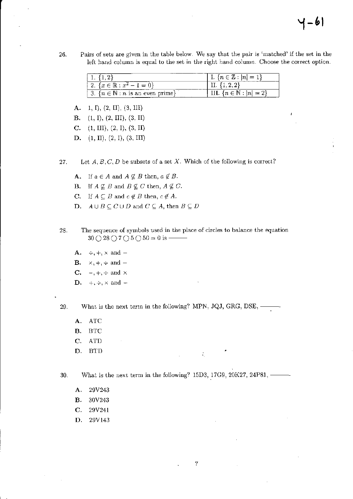26. Pairs of sets are given in the table below. We say that the pair is 'matched' if the set in the left hand column is equal to the set in the right hand column. Choose the correct option.

|                                                              | I. $\{n \in \mathbb{Z} :  n  = 1\}$   |
|--------------------------------------------------------------|---------------------------------------|
| 1 2. $\{x \in \mathbb{R} : x^2 - 1 = 0\}$                    |                                       |
| $\mid 3. \{n \in \mathbb{N} : n \text{ is an even prime}\}\$ | III. $\{n \in \mathbb{N} :  n  = 2\}$ |

- $A. 1, I), (2, II), (3, III)$
- **B.** (1, 1), (2, III), (3, II)
- C.  $(1, \text{III}), (2, 1), (3, \text{II})$
- D.  $(1, II), (2, I), (3, III)$
- Let  $A, B, C, D$  be subsets of a set X. Which of the following is correct? 27.
	- **A.** If  $a \in A$  and  $A \nsubseteq B$  then,  $a \notin B$ .
	- **B.** If  $A \nsubseteq B$  and  $B \nsubseteq C$  then,  $A \nsubseteq C$ .
	- **C.** If  $A \subseteq B$  and  $c \notin B$  then,  $c \notin A$ .
	- **D.**  $A \cup B \subseteq C \cup D$  and  $C \subseteq A$ , then  $B \subseteq D$
- 28. The sequence of symbols used in the place of circles to balance the equation  $30 \bigcirc 28 \bigcirc 7 \bigcirc 5 \bigcirc 50 = 0$  is —
	- **A.**  $\div, +$ ,  $\times$  and  $-$
	- B.  $\times$ , +, ÷ and –
	- **C.**  $-, +, \div$  and  $\times$
	- **D.**  $+, \div, \times$  and  $-$
- 

What is the next term in the following? MPN, JQJ, GRG, DSE, --29.

- $\bf ATC$ A.
- **BTC B.**
- C. **ATD**
- D. **BTD**

What is the next term in the following? 15D3, 17G9, 20K27, 24P81, -----30.

 $\mathcal{L}_{\mathcal{L}}$ 

 $\rm 7$ 

- А. 29V243
- **B.** 30V243
- C. 29V241
- D. 29V143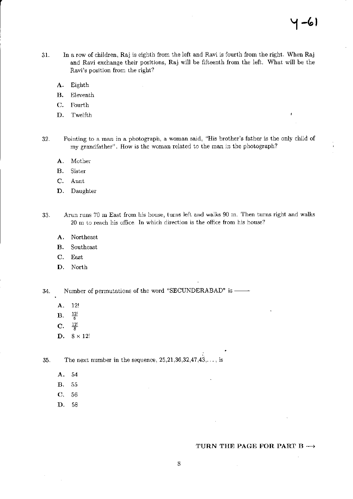$\overline{1}$ 

- 31. In a row of children, Raj is eighth from the left and Ravi is fourth from the right. When Raj and Ravi exchange their positions, Raj will be fifteenth from the left. What will be the Ravi's position from the right?
	- A. Eighth
	- B. Eleventh
	- C. Fourth
	- D. Twelfth
- Pointing to a man in a photograph, a woman said, "His brother's father is the only child of my grandfather". How is the woman related to the man in the photograph? 32.
	- A. Mother
	- B. Sister
	- C. Aunt
	- D. Daughter
- Arun runs 70 m East from his house, turns left and walks 90 m. Then turns right and walks 33. 20 m to reach his office. In which direction is the office from his house?
	- A. Northeast
	- B. Southeast
	- C. East
	- D. North

34. Number of permutations of the word "SECUNDERABAD" is

- **A.** 12!<br>**B.**  $\frac{12!}{6}$
- $B.$
- $C. \frac{12!}{8}$
- D.  $8 \times 12!$

The next number in the sequence,  $25,21,36,32,47,43,\ldots$ , is 35.

- A.54
- B. <sup>55</sup>
- c. <sup>56</sup>
- D. s8

#### TURN THE PAGE FOR PART B  $\rightarrow$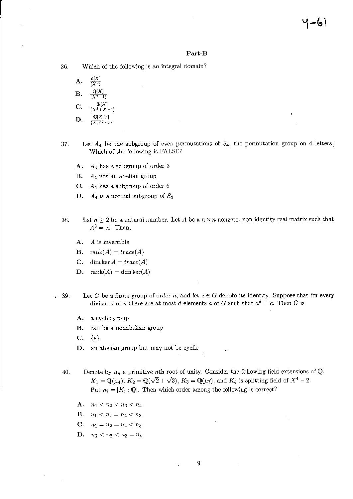#### Part-B

36. Which of the following is an integral domain?

- A.  $\frac{\mathbb{Q}[X]}{\ell X^2-1}$  $\mathbf{B}$ . C. D.
- 37. Let  $A_4$  be the subgroup of even permutations of  $S_4$ , the permutation group on 4 letters, Which of the following is FALSE?
	- $A_4$  has a subgroup of order 3 А.
	- **B.**  $A_4$  not an abelian group
	- C.  $A_4$  has a subgroup of order 6
	- D.  $A_4$  is a normal subgroup of  $S_4$
- Let  $n \geq 2$  be a natural number. Let A be a  $n \times n$  nonzero, non-identity real matrix such that 38.  $A^2 = A$ . Then,
	- $A.$  A is invertible
	- **B.** rank $(A) = trace(A)$
	- C. dim ker  $A = trace(A)$
	- **D.** rank $(A) = \dim \ker(A)$
- Let G be a finite group of order n, and let  $e \in G$  denote its identity. Suppose that for every  $. 39.$ divisor d of n there are at most d elements a of G such that  $a^d = e$ . Then G is
	- А. a cyclic group
	- can be a nonabelian group В.
	- $\mathbf{C}$ .  $\{e\}$
	- an abelian group but may not be cyclic D.
	- Denote by  $\mu_n$  a primitive *n*th root of unity. Consider the following field extensions of Q. 40.  $K_1 = \mathbb{Q}(\mu_4)$ ,  $K_2 = \mathbb{Q}(\sqrt{2} + \sqrt{3})$ ,  $K_3 = \mathbb{Q}(\mu_7)$ , and  $K_4$  is splitting field of  $X^4 - 2$ . Put  $n_i = [K_i : \mathbb{Q}]$ . Then which order among the following is correct?

÷,

- A.  $n_1 < n_2 < n_3 < n_4$
- **B.**  $n_1 < n_2 = n_4 < n_3$
- C.  $n_1 = n_2 = n_4 < n_3$
- **D.**  $n_1 < n_2 < n_3 = n_4$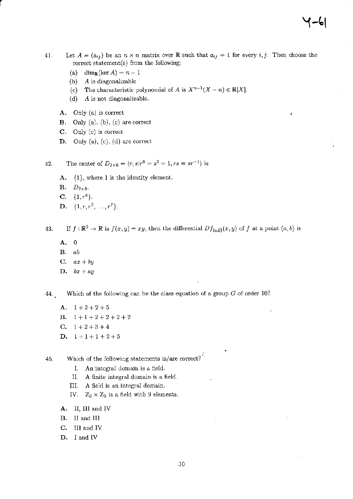- 41. Let  $A = (a_{ij})$  be an  $n \times n$  matrix over R such that  $a_{ij} = 1$  for every i, j. Then choose the correct statement(s) from the following:
	- (a) dim<sub>R</sub>(ker A) =  $n-1$
	- $A$  is diagonalizable  $(b)$
	- The characteristic polynomial of A is  $X^{n-1}(X n) \in \mathbb{R}[X]$ .  $(c)$
	- $(d)$ A is not diagonalizable.
	- A. Only (a) is correct
	- **B.** Only  $(a)$ ,  $(b)$ ,  $(c)$  are correct
	- $C.$  Only (c) is correct
	- D. Only (a), (c), (d) are correct

The center of  $D_{2\times 8} = \langle r, s | r^8 = s^2 = 1, rs = sr^{-1} \rangle$  is 42.

- $A. \{1\}$ , where 1 is the identity element.
- $\mathbf{B.}$   $D_{2\times 8}$ .
- C.  $\{1, r^4\}.$
- **D.**  $\{1, r, r^2, \ldots, r^7\}.$

43.

If  $f: \mathbb{R}^2 \to \mathbb{R}$  is  $f(x, y) = xy$ , then the differential  $Df_{(a,b)}(x, y)$  of f at a point  $(a, b)$  is

- A. 0
- $B.$  ab
- C.  $ax + by$
- **D.**  $bx + ay$

Which of the following can be the class equation of a group  $G$  of order 10? 44.

A.  $1+2+2+5$ **B.**  $1+1+2+2+2+2$ C.  $1+2+3+4$ D.  $1+1+1+2+5$ 

Which of the following statements is/are correct? 45.

- I. An integral domain is a field.
- II. A finite integral domain is a field.
- A field is an integral domain. III.
- IV.  $\mathbb{Z}_3 \times \mathbb{Z}_3$  is a field with 9 elements.
- A. II, III and IV
- B. II and III
- C. III and IV
- D. I and IV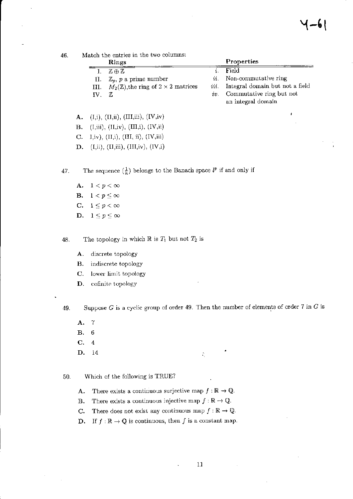Match the entries in the two columns: 46.

|          | Rings                                                      |                | Properties                           |
|----------|------------------------------------------------------------|----------------|--------------------------------------|
|          | I. $\mathbb{Z} \oplus \mathbb{Z}$                          | $\mathbf{r}$ . | Field                                |
|          | II. $\mathbb{Z}_p$ , p a prime number                      |                | <i>ii</i> . Non-commutative ring     |
|          | III. $M_2(\mathbb{Z})$ , the ring of $2 \times 2$ matrices |                | iii. Integral domain but not a field |
| $IV_{-}$ | - 7.                                                       |                | $iv.$ Commutative ring but not       |
|          |                                                            |                | an integral domain                   |

 $(I,i), (II,ii), (III,iii), (IV,iv)$ A.

 $\mathbf{B}$ .  $(I, iii), (II, iv), (III, i), (IV, ii)$ 

C. I,iv), (II,i), (III, ii), (IV, iii)

**D.** (I,ii), (II,iii), (III,iv), (IV,i)

The sequence  $(\frac{1}{n})$  belongs to the Banach space  $l^p$  if and only if 47.

A.  $1 < p < \infty$ **B.**  $1 < p \leq \infty$ C.  $1 \leq p < \infty$ D.  $1 \leq p \leq \infty$ 

The topology in which  $\mathbb R$  is  $T_1$  but not  $T_2$  is 48.

- A. discrete topology
- indiscrete topology В.
- C. lower limit topology
- cofinite topology D.

Suppose  $G$  is a cyclic group of order 49. Then the number of elements of order  $7$  in  $G$  is 49.

 $\mathcal{L}_\mathrm{c}$ 

- $\overline{7}$ A.
- $\,6$ В.
- C.  $\boldsymbol{4}$
- D. 14

50. Which of the following is TRUE?

- There exists a continuous surjective map  $f : \mathbb{R} \to \mathbb{Q}$ . А.
- There exists a continuous injective map  $f : \mathbb{R} \to \mathbb{Q}$ . **B.**
- There does not exist any continuous map  $f : \mathbb{R} \to \mathbb{Q}$ . С.
- If  $f : \mathbb{R} \to \mathbb{Q}$  is continuous, then f is a constant map. D.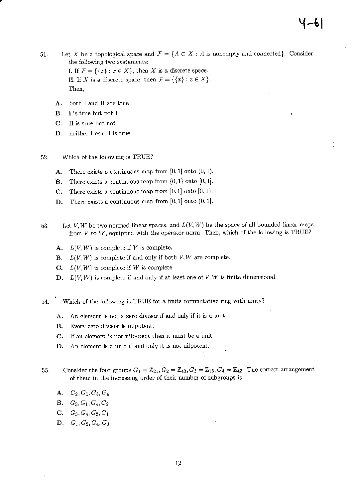Let X be a topological space and  $\mathcal{F} = \{A \subset X : A$  is nonempty and connected. Consider 51. the following two statements: I. If  $\mathcal{F} = \{\{x\} : x \in X\}$ , then X is a discrete space. II. If X is a discrete space, then  $\mathcal{F} = \{\{x\} : x \in X\}.$ Then,

- А. both I and II are true
- **B.** I is true but not II
- C. Il is true but not I
- D. neither I nor II is true
- 52. Which of the following is TRUE?
	- There exists a continuous map from  $[0,1]$  onto  $(0,1)$ . А.
	- There exists a continuous map from  $(0,1)$  onto  $[0,1]$ . В.
	- $\mathbf{C}$ . There exists a continuous map from  $[0,1]$  onto  $[0,1)$ .
	- There exists a continuous map from  $[0,1]$  onto  $(0,1]$ . D.
- Let V, W be two normed linear spaces, and  $L(V, W)$  be the space of all bounded linear maps 53. from  $V$  to  $W$ , equipped with the operator norm. Then, which of the following is TRUE?
	- $L(V, W)$  is complete if V is complete. A.
	- **B.**  $L(V, W)$  is complete if and only if both V, W are complete.
	- **C.**  $L(V, W)$  is complete if W is complete.
	- $L(V, W)$  is complete if and only if at least one of V, W is finite dimensional. D.
- 54. Which of the following is TRUE for a finite commutative ring with unity?
	- An element is not a zero divisor if and only if it is a unit. A.
	- **B.** Every zero divisor is nilpotent.
	- C. If an element is not nilpotent then it must be a unit.
	- An element is a unit if and only it is not nilpotent. D.
- Consider the four groups  $G_1 = \mathbb{Z}_{21}$ ,  $G_2 = \mathbb{Z}_{43}$ ,  $G_3 = \mathbb{Z}_{16}$ ,  $G_4 = \mathbb{Z}_{42}$ . The correct arrangement 55. of them in the increasing order of their number of subgroups is
	- A.  $G_2, G_1, G_3, G_4$
	- **B.**  $G_3, G_1, G_4, G_2$
	- C.  $G_3, G_4, G_2, G_1$
	- D.  $G_1, G_2, G_4, G_3$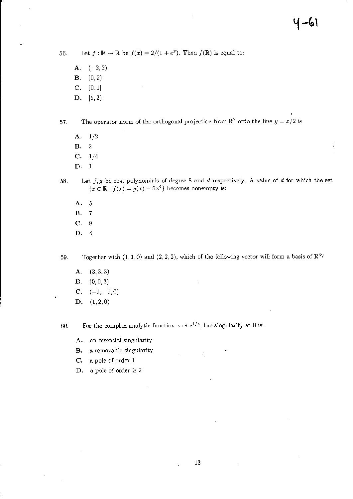Let  $f : \mathbb{R} \to \mathbb{R}$  be  $f(x) = 2/(1 + e^x)$ . Then  $f(\mathbb{R})$  is equal to: 56.

- $(-2, 2)$ A.  $(0, 2)$ в.  $(0,1]$ C. D.  $[1, 2)$
- The operator norm of the orthogonal projection from  $\mathbb{R}^2$  onto the line  $y = x/2$  is 57.
	- $A. 1/2$
	- $\overline{2}$ B.
	- $C. 1/4$
	- $D. 1$
	- Let  $f, g$  be real polynomials of degree 8 and  $d$  respectively. A value of  $d$  for which the set 58.  ${x \in \mathbb{R} : f(x) = g(x) - 5x^4}$  becomes nonempty is:
		- $\overline{5}$ A.
		- $\overline{7}$ **B.**
		- C. 9
		- D. 4

Together with  $(1,1,0)$  and  $(2,2,2)$ , which of the following vector will form a basis of  $\mathbb{R}^3$ ? 59.

- А.  $(3,3,3)$
- $(0, 0, 3)$ В.
- $C. (-1, -1, 0)$
- **D.**  $(1, 2, 0)$

For the complex analytic function  $z \mapsto e^{1/z}$ , the singularity at 0 is: 60.

- an essential singularity A.
- a removable singularity **B.**
- a pole of order 1  $\mathbf{C}$ .
- a pole of order  $\geq 2$ D.

 $\zeta_i$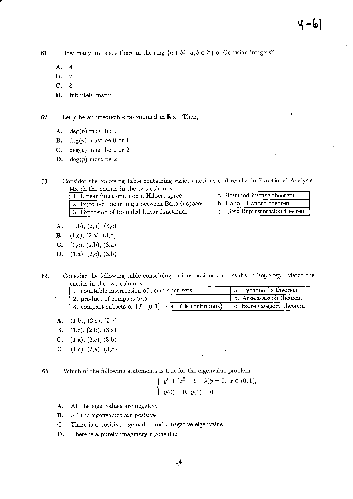How many units are there in the ring  $\{a + bi : a, b \in \mathbb{Z}\}\$  of Gaussian integers? 61.

- A.  $\overline{4}$
- В.  $\overline{2}$
- C. 8
- D. infinitely many

Let p be an irreducible polynomial in  $\mathbb{R}[x]$ . Then, 62.

- $deg(p)$  must be 1 A.
- $deg(p)$  must be 0 or 1 **B.**
- $\mathbf{C}$ .  $deg(p)$  must be 1 or 2
- D. deg(p) must be 2

Consider the following table containing various notions and results in Functional Analysis. 63. Match the entries in the two columns.

| 1. Linear functionals on a Hilbert space       | a. Bounded inverse theorem      |
|------------------------------------------------|---------------------------------|
| 2. Bijective linear maps between Banach spaces | b. Hahn - Banach theorem        |
| 3. Extension of bounded linear functional      | c. Riesz Representation theorem |

- $(1,b), (2,a), (3,c)$ А.
- **B.** (1,c), (2,a), (3,b)
- C.  $(1,c)$ ,  $(2,b)$ ,  $(3,a)$
- $(1,a), (2,c), (3,b)$ D.
- Consider the following table containing various notions and results in Topology. Match the 64. entries in the two columns.

| 1. countable intersection of dense open sets                          | a. Tychonoff's theorem            |
|-----------------------------------------------------------------------|-----------------------------------|
| 2. product of compact sets                                            | b. Arzela-Ascoli theorem          |
| 3. compact subsets of $\{f : [0,1] \to \mathbb{R} : f$ is continuous} | $\vert$ c. Baire category theorem |

 $(1,b), (2,a), (3,c)$ А.

 $\bullet$ 

- $(1,c), (2,b), (3,a)$ **B.**
- C.  $(1,a)$ ,  $(2,c)$ ,  $(3,b)$
- **D.** (1,c), (2,a), (3,b)

Which of the following statements is true for the eigenvalue problem 65.

$$
\begin{cases}\n y'' + (x^2 - 1 - \lambda)y = 0, \ x \in (0, 1), \\
y(0) = 0, \ y(1) = 0.\n\end{cases}
$$

÷.

- All the eigenvalues are negative А.
- **B.** All the eigenvalues are positive
- There is a positive eigenvalue and a negative eigenvalue C.
- D. There is a purely imaginary eigenvalue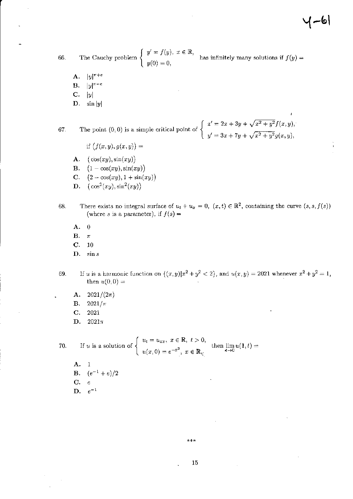( – ৩|

The Cauchy problem  $\begin{cases} y' = f(y), & x \in \mathbb{R}, \\ y(0) = 0, \end{cases}$ has infinitely many solutions if  $f(y) =$ 66.

- $|y|^{\pi+\epsilon}$ A.
- **B.**  $|y|^{\pi-e}$
- C.  $|y|$
- D.  $\sin|y|$

The point (0, 0) is a simple critical point of  $\begin{cases} x' = 2x + 3y + \sqrt{x^2 + y^2} f(x, y), \\ y' = 3x + 7y + \sqrt{x^2 + y^2} g(x, y), \end{cases}$ 67.

- if  $(f(x, y), g(x, y)) =$
- A.  $(\cos(xy), \sin(xy))$
- **B.**  $(1 \cos(xy), \sin(xy))$
- C.  $(2 \cos(xy), 1 + \sin(xy))$
- **D.**  $(\cos^2(xy), \sin^2(xy))$
- There exists no integral surface of  $u_t + u_x = 0$ ,  $(x, t) \in \mathbb{R}^2$ , containing the curve  $(s, s, f(s))$ 68. (where s is a parameter), if  $f(s) =$ 
	- A.  $\theta$
	- В.  $\pi$
	- C.  $10$
	- D.  $\sin s$
- If u is a harmonic function on  $\{(x,y)|x^2+y^2<2\}$ , and  $u(x,y)=2021$  whenever  $x^2+y^2=1$ , 69. then  $u(0,0) =$ 
	- A.  $2021/(2\pi)$
	- **B.**  $2021/\pi$
	- $\mathbf{C}$ . 2021
	- D.  $2021\pi$

If u is a solution of  $\begin{cases} u_t = u_{xx}, & x \in \mathbb{R}, \ t > 0, \\ u(x, 0) = e^{-x^2}, & x \in \mathbb{R}, \end{cases}$  then  $\lim_{\epsilon \to 0} u(1, t) =$ 70.

A. 1 **B.**  $(e^{-1} + e)/2$  $C. e$ D.  $e^{-1}$ 

\*\*\*

15